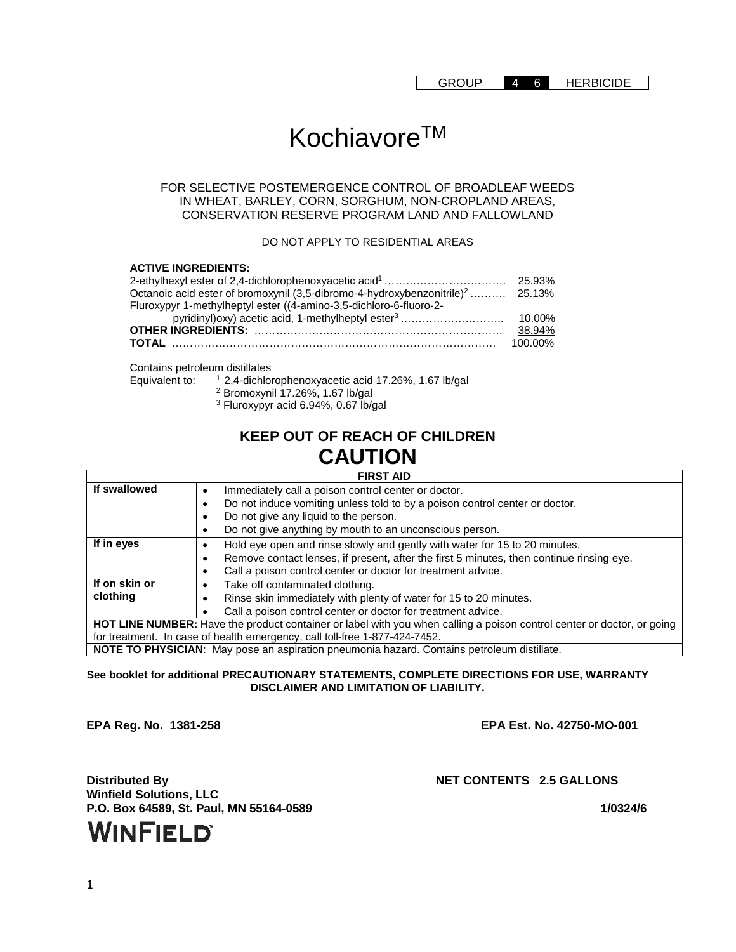# Kochiavore™

#### FOR SELECTIVE POSTEMERGENCE CONTROL OF BROADLEAF WEEDS IN WHEAT, BARLEY, CORN, SORGHUM, NON-CROPLAND AREAS, CONSERVATION RESERVE PROGRAM LAND AND FALLOWLAND

DO NOT APPLY TO RESIDENTIAL AREAS

| <b>ACTIVE INGREDIENTS:</b>                                                                |         |
|-------------------------------------------------------------------------------------------|---------|
|                                                                                           |         |
| Octanoic acid ester of bromoxynil (3,5-dibromo-4-hydroxybenzonitrile) <sup>2</sup> 25.13% |         |
| Fluroxypyr 1-methylheptyl ester ((4-amino-3,5-dichloro-6-fluoro-2-                        |         |
| pyridinyl) oxy) acetic acid, 1-methylheptyl ester <sup>3</sup>                            | 10.00%  |
|                                                                                           | 38.94%  |
|                                                                                           | 100.00% |

Contains petroleum distillates<br>Equivalent to:  $12,4$ -dichlor

 $12,4$ -dichlorophenoxyacetic acid 17.26%, 1.67 lb/gal

<sup>2</sup> Bromoxynil 17.26%, 1.67 lb/gal

<sup>3</sup> Fluroxypyr acid 6.94%, 0.67 lb/gal

### **KEEP OUT OF REACH OF CHILDREN CAUTION**

#### **FIRST AID**

| If swallowed                                                                                                           | Immediately call a poison control center or doctor.                                      |  |
|------------------------------------------------------------------------------------------------------------------------|------------------------------------------------------------------------------------------|--|
|                                                                                                                        | Do not induce vomiting unless told to by a poison control center or doctor.              |  |
|                                                                                                                        | Do not give any liquid to the person.                                                    |  |
|                                                                                                                        | Do not give anything by mouth to an unconscious person.                                  |  |
| If in eyes                                                                                                             | Hold eye open and rinse slowly and gently with water for 15 to 20 minutes.               |  |
|                                                                                                                        | Remove contact lenses, if present, after the first 5 minutes, then continue rinsing eye. |  |
|                                                                                                                        | Call a poison control center or doctor for treatment advice.                             |  |
| If on skin or                                                                                                          | Take off contaminated clothing.                                                          |  |
| clothing                                                                                                               | Rinse skin immediately with plenty of water for 15 to 20 minutes.                        |  |
|                                                                                                                        | Call a poison control center or doctor for treatment advice.                             |  |
| HOT LINE NUMBER: Have the product container or label with you when calling a poison control center or doctor, or going |                                                                                          |  |
| for treatment. In case of health emergency, call toll-free 1-877-424-7452.                                             |                                                                                          |  |
| NOTE TO PHYSICIAN: May pose an aspiration pneumonia hazard. Contains petroleum distillate.                             |                                                                                          |  |

**See booklet for additional PRECAUTIONARY STATEMENTS, COMPLETE DIRECTIONS FOR USE, WARRANTY DISCLAIMER AND LIMITATION OF LIABILITY.**

**EPA Reg. No. 1381-258 EPA Est. No. 42750-MO-001**

**Distributed By NET CONTENTS 2.5 GALLONS Winfield Solutions, LLC P.O. Box 64589, St. Paul, MN 55164-0589 1/0324/6**

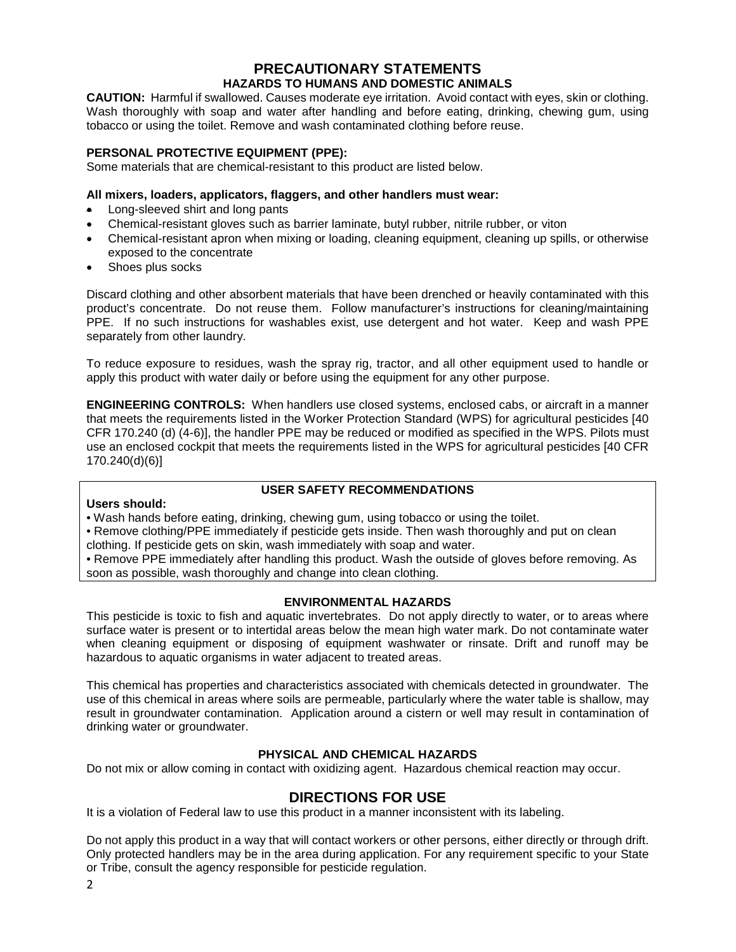#### **PRECAUTIONARY STATEMENTS HAZARDS TO HUMANS AND DOMESTIC ANIMALS**

**CAUTION:** Harmful if swallowed. Causes moderate eye irritation. Avoid contact with eyes, skin or clothing. Wash thoroughly with soap and water after handling and before eating, drinking, chewing gum, using tobacco or using the toilet. Remove and wash contaminated clothing before reuse.

#### **PERSONAL PROTECTIVE EQUIPMENT (PPE):**

Some materials that are chemical-resistant to this product are listed below.

#### **All mixers, loaders, applicators, flaggers, and other handlers must wear:**

- Long-sleeved shirt and long pants
- Chemical-resistant gloves such as barrier laminate, butyl rubber, nitrile rubber, or viton
- Chemical-resistant apron when mixing or loading, cleaning equipment, cleaning up spills, or otherwise exposed to the concentrate
- Shoes plus socks

Discard clothing and other absorbent materials that have been drenched or heavily contaminated with this product's concentrate. Do not reuse them. Follow manufacturer's instructions for cleaning/maintaining PPE. If no such instructions for washables exist, use detergent and hot water. Keep and wash PPE separately from other laundry.

To reduce exposure to residues, wash the spray rig, tractor, and all other equipment used to handle or apply this product with water daily or before using the equipment for any other purpose.

**ENGINEERING CONTROLS:** When handlers use closed systems, enclosed cabs, or aircraft in a manner that meets the requirements listed in the Worker Protection Standard (WPS) for agricultural pesticides [40 CFR 170.240 (d) (4-6)], the handler PPE may be reduced or modified as specified in the WPS. Pilots must use an enclosed cockpit that meets the requirements listed in the WPS for agricultural pesticides [40 CFR 170.240(d)(6)]

#### **USER SAFETY RECOMMENDATIONS**

#### **Users should:**

• Wash hands before eating, drinking, chewing gum, using tobacco or using the toilet.

• Remove clothing/PPE immediately if pesticide gets inside. Then wash thoroughly and put on clean clothing. If pesticide gets on skin, wash immediately with soap and water.

• Remove PPE immediately after handling this product. Wash the outside of gloves before removing. As soon as possible, wash thoroughly and change into clean clothing.

#### **ENVIRONMENTAL HAZARDS**

This pesticide is toxic to fish and aquatic invertebrates. Do not apply directly to water, or to areas where surface water is present or to intertidal areas below the mean high water mark. Do not contaminate water when cleaning equipment or disposing of equipment washwater or rinsate. Drift and runoff may be hazardous to aquatic organisms in water adjacent to treated areas.

This chemical has properties and characteristics associated with chemicals detected in groundwater. The use of this chemical in areas where soils are permeable, particularly where the water table is shallow, may result in groundwater contamination. Application around a cistern or well may result in contamination of drinking water or groundwater.

#### **PHYSICAL AND CHEMICAL HAZARDS**

Do not mix or allow coming in contact with oxidizing agent. Hazardous chemical reaction may occur.

#### **DIRECTIONS FOR USE**

It is a violation of Federal law to use this product in a manner inconsistent with its labeling.

Do not apply this product in a way that will contact workers or other persons, either directly or through drift. Only protected handlers may be in the area during application. For any requirement specific to your State or Tribe, consult the agency responsible for pesticide regulation.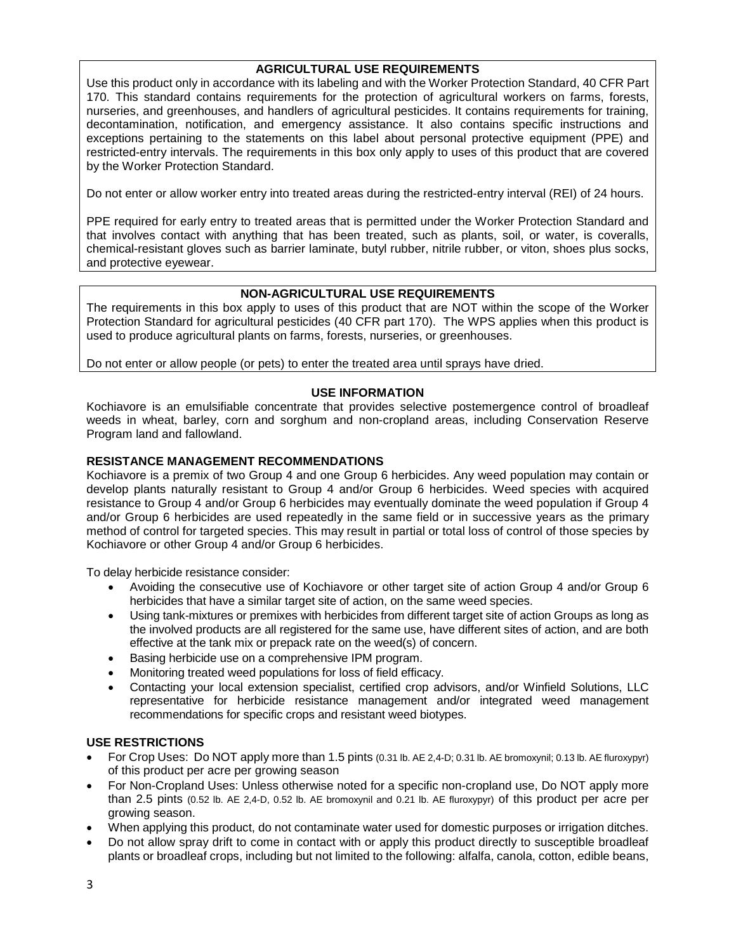#### **AGRICULTURAL USE REQUIREMENTS**

Use this product only in accordance with its labeling and with the Worker Protection Standard, 40 CFR Part 170. This standard contains requirements for the protection of agricultural workers on farms, forests, nurseries, and greenhouses, and handlers of agricultural pesticides. It contains requirements for training, decontamination, notification, and emergency assistance. It also contains specific instructions and exceptions pertaining to the statements on this label about personal protective equipment (PPE) and restricted-entry intervals. The requirements in this box only apply to uses of this product that are covered by the Worker Protection Standard.

Do not enter or allow worker entry into treated areas during the restricted-entry interval (REI) of 24 hours.

PPE required for early entry to treated areas that is permitted under the Worker Protection Standard and that involves contact with anything that has been treated, such as plants, soil, or water, is coveralls, chemical-resistant gloves such as barrier laminate, butyl rubber, nitrile rubber, or viton, shoes plus socks, and protective eyewear.

#### **NON-AGRICULTURAL USE REQUIREMENTS**

The requirements in this box apply to uses of this product that are NOT within the scope of the Worker Protection Standard for agricultural pesticides (40 CFR part 170). The WPS applies when this product is used to produce agricultural plants on farms, forests, nurseries, or greenhouses.

Do not enter or allow people (or pets) to enter the treated area until sprays have dried.

#### **USE INFORMATION**

Kochiavore is an emulsifiable concentrate that provides selective postemergence control of broadleaf weeds in wheat, barley, corn and sorghum and non-cropland areas, including Conservation Reserve Program land and fallowland.

#### **RESISTANCE MANAGEMENT RECOMMENDATIONS**

Kochiavore is a premix of two Group 4 and one Group 6 herbicides. Any weed population may contain or develop plants naturally resistant to Group 4 and/or Group 6 herbicides. Weed species with acquired resistance to Group 4 and/or Group 6 herbicides may eventually dominate the weed population if Group 4 and/or Group 6 herbicides are used repeatedly in the same field or in successive years as the primary method of control for targeted species. This may result in partial or total loss of control of those species by Kochiavore or other Group 4 and/or Group 6 herbicides.

To delay herbicide resistance consider:

- Avoiding the consecutive use of Kochiavore or other target site of action Group 4 and/or Group 6 herbicides that have a similar target site of action, on the same weed species.
- Using tank-mixtures or premixes with herbicides from different target site of action Groups as long as the involved products are all registered for the same use, have different sites of action, and are both effective at the tank mix or prepack rate on the weed(s) of concern.
- Basing herbicide use on a comprehensive IPM program.
- Monitoring treated weed populations for loss of field efficacy.
- Contacting your local extension specialist, certified crop advisors, and/or Winfield Solutions, LLC representative for herbicide resistance management and/or integrated weed management recommendations for specific crops and resistant weed biotypes.

#### **USE RESTRICTIONS**

- For Crop Uses: Do NOT apply more than 1.5 pints (0.31 lb. AE 2,4-D; 0.31 lb. AE bromoxynil; 0.13 lb. AE fluroxypyr) of this product per acre per growing season
- For Non-Cropland Uses: Unless otherwise noted for a specific non-cropland use, Do NOT apply more than 2.5 pints (0.52 lb. AE 2,4-D, 0.52 lb. AE bromoxynil and 0.21 lb. AE fluroxypyr) of this product per acre per growing season.
- When applying this product, do not contaminate water used for domestic purposes or irrigation ditches.
- Do not allow spray drift to come in contact with or apply this product directly to susceptible broadleaf plants or broadleaf crops, including but not limited to the following: alfalfa, canola, cotton, edible beans,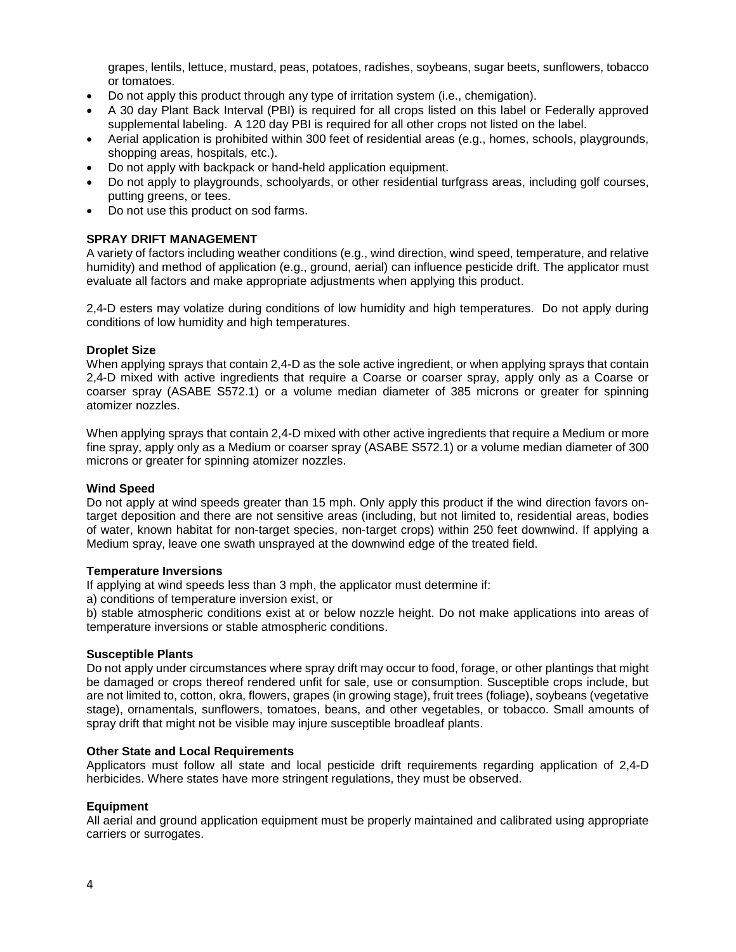grapes, lentils, lettuce, mustard, peas, potatoes, radishes, soybeans, sugar beets, sunflowers, tobacco or tomatoes.

- Do not apply this product through any type of irritation system (i.e., chemigation).
- A 30 day Plant Back Interval (PBI) is required for all crops listed on this label or Federally approved supplemental labeling. A 120 day PBI is required for all other crops not listed on the label.
- Aerial application is prohibited within 300 feet of residential areas (e.g., homes, schools, playgrounds, shopping areas, hospitals, etc.).
- Do not apply with backpack or hand-held application equipment.
- Do not apply to playgrounds, schoolyards, or other residential turfgrass areas, including golf courses, putting greens, or tees.
- Do not use this product on sod farms.

#### **SPRAY DRIFT MANAGEMENT**

A variety of factors including weather conditions (e.g., wind direction, wind speed, temperature, and relative humidity) and method of application (e.g., ground, aerial) can influence pesticide drift. The applicator must evaluate all factors and make appropriate adjustments when applying this product.

2,4-D esters may volatize during conditions of low humidity and high temperatures. Do not apply during conditions of low humidity and high temperatures.

#### **Droplet Size**

When applying sprays that contain 2,4-D as the sole active ingredient, or when applying sprays that contain 2,4-D mixed with active ingredients that require a Coarse or coarser spray, apply only as a Coarse or coarser spray (ASABE S572.1) or a volume median diameter of 385 microns or greater for spinning atomizer nozzles.

When applying sprays that contain 2,4-D mixed with other active ingredients that require a Medium or more fine spray, apply only as a Medium or coarser spray (ASABE S572.1) or a volume median diameter of 300 microns or greater for spinning atomizer nozzles.

#### **Wind Speed**

Do not apply at wind speeds greater than 15 mph. Only apply this product if the wind direction favors ontarget deposition and there are not sensitive areas (including, but not limited to, residential areas, bodies of water, known habitat for non-target species, non-target crops) within 250 feet downwind. If applying a Medium spray, leave one swath unsprayed at the downwind edge of the treated field.

#### **Temperature Inversions**

If applying at wind speeds less than 3 mph, the applicator must determine if:

a) conditions of temperature inversion exist, or

b) stable atmospheric conditions exist at or below nozzle height. Do not make applications into areas of temperature inversions or stable atmospheric conditions.

#### **Susceptible Plants**

Do not apply under circumstances where spray drift may occur to food, forage, or other plantings that might be damaged or crops thereof rendered unfit for sale, use or consumption. Susceptible crops include, but are not limited to, cotton, okra, flowers, grapes (in growing stage), fruit trees (foliage), soybeans (vegetative stage), ornamentals, sunflowers, tomatoes, beans, and other vegetables, or tobacco. Small amounts of spray drift that might not be visible may injure susceptible broadleaf plants.

#### **Other State and Local Requirements**

Applicators must follow all state and local pesticide drift requirements regarding application of 2,4-D herbicides. Where states have more stringent regulations, they must be observed.

#### **Equipment**

All aerial and ground application equipment must be properly maintained and calibrated using appropriate carriers or surrogates.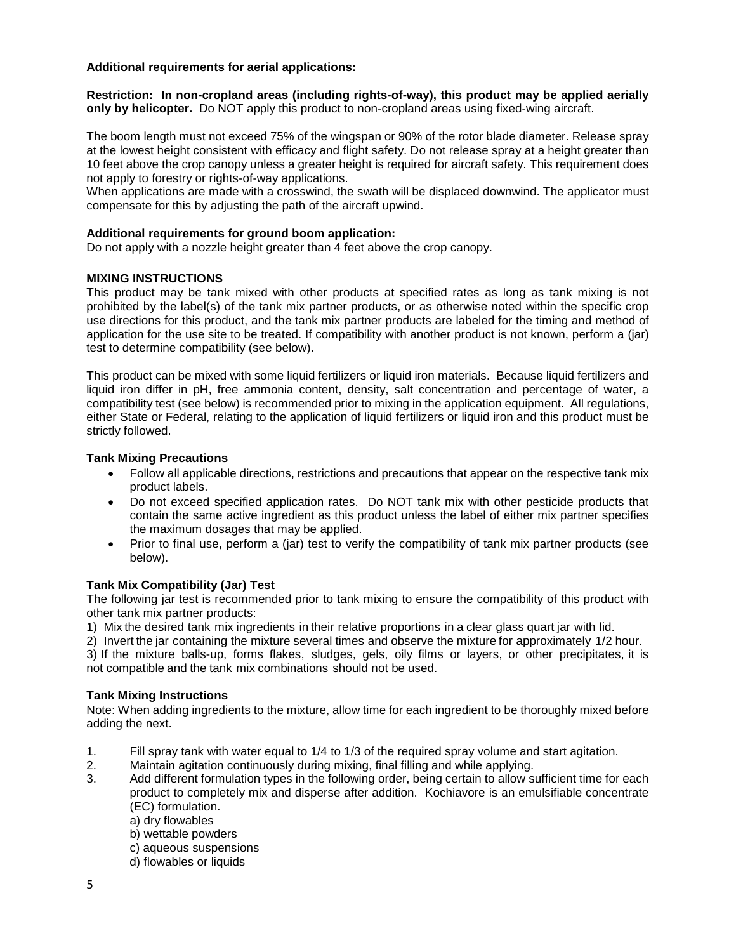#### **Additional requirements for aerial applications:**

**Restriction: In non-cropland areas (including rights-of-way), this product may be applied aerially only by helicopter.** Do NOT apply this product to non-cropland areas using fixed-wing aircraft.

The boom length must not exceed 75% of the wingspan or 90% of the rotor blade diameter. Release spray at the lowest height consistent with efficacy and flight safety. Do not release spray at a height greater than 10 feet above the crop canopy unless a greater height is required for aircraft safety. This requirement does not apply to forestry or rights-of-way applications.

When applications are made with a crosswind, the swath will be displaced downwind. The applicator must compensate for this by adjusting the path of the aircraft upwind.

#### **Additional requirements for ground boom application:**

Do not apply with a nozzle height greater than 4 feet above the crop canopy.

#### **MIXING INSTRUCTIONS**

This product may be tank mixed with other products at specified rates as long as tank mixing is not prohibited by the label(s) of the tank mix partner products, or as otherwise noted within the specific crop use directions for this product, and the tank mix partner products are labeled for the timing and method of application for the use site to be treated. If compatibility with another product is not known, perform a (jar) test to determine compatibility (see below).

This product can be mixed with some liquid fertilizers or liquid iron materials. Because liquid fertilizers and liquid iron differ in pH, free ammonia content, density, salt concentration and percentage of water, a compatibility test (see below) is recommended prior to mixing in the application equipment. All regulations, either State or Federal, relating to the application of liquid fertilizers or liquid iron and this product must be strictly followed.

#### **Tank Mixing Precautions**

- Follow all applicable directions, restrictions and precautions that appear on the respective tank mix product labels.
- Do not exceed specified application rates. Do NOT tank mix with other pesticide products that contain the same active ingredient as this product unless the label of either mix partner specifies the maximum dosages that may be applied.
- Prior to final use, perform a (jar) test to verify the compatibility of tank mix partner products (see below).

#### **Tank Mix Compatibility (Jar) Test**

The following jar test is recommended prior to tank mixing to ensure the compatibility of this product with other tank mix partner products:

1) Mix the desired tank mix ingredients in their relative proportions in a clear glass quart jar with lid.

2) Invert the jar containing the mixture several times and observe the mixture for approximately 1/2 hour.

3) If the mixture balls-up, forms flakes, sludges, gels, oily films or layers, or other precipitates, it is not compatible and the tank mix combinations should not be used.

#### **Tank Mixing Instructions**

Note: When adding ingredients to the mixture, allow time for each ingredient to be thoroughly mixed before adding the next.

- 1. Fill spray tank with water equal to 1/4 to 1/3 of the required spray volume and start agitation.
- 2. Maintain agitation continuously during mixing, final filling and while applying.
- 3. Add different formulation types in the following order, being certain to allow sufficient time for each product to completely mix and disperse after addition. Kochiavore is an emulsifiable concentrate (EC) formulation.
	- a) dry flowables
	- b) wettable powders
	- c) aqueous suspensions
	- d) flowables or liquids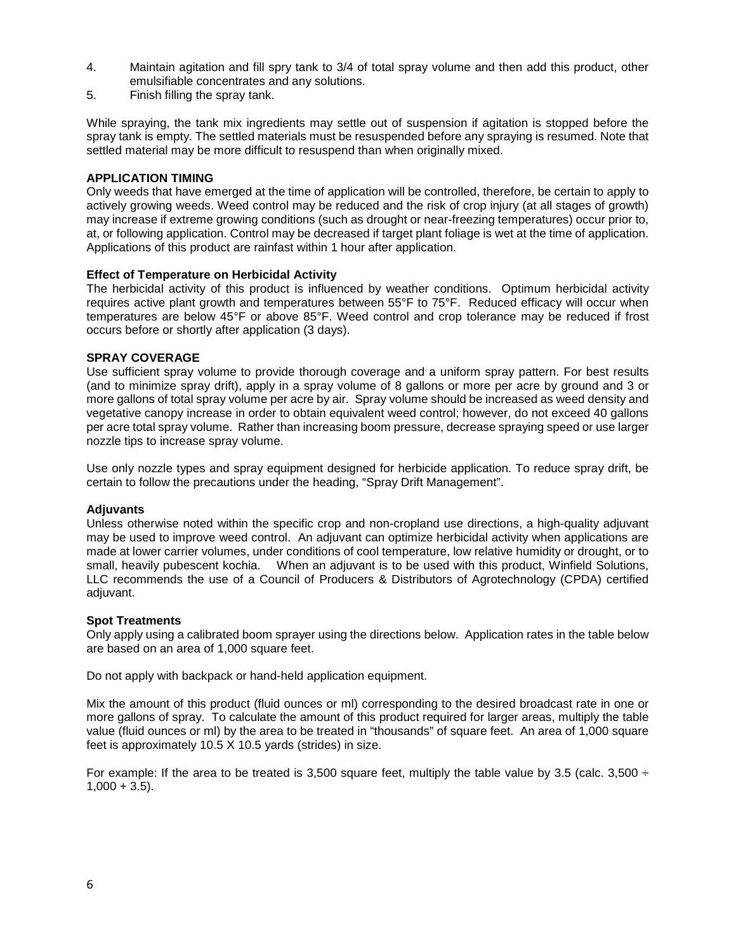- 4. Maintain agitation and fill spry tank to 3/4 of total spray volume and then add this product, other emulsifiable concentrates and any solutions.
- 5. Finish filling the spray tank.

While spraying, the tank mix ingredients may settle out of suspension if agitation is stopped before the spray tank is empty. The settled materials must be resuspended before any spraying is resumed. Note that settled material may be more difficult to resuspend than when originally mixed.

#### **APPLICATION TIMING**

Only weeds that have emerged at the time of application will be controlled, therefore, be certain to apply to actively growing weeds. Weed control may be reduced and the risk of crop injury (at all stages of growth) may increase if extreme growing conditions (such as drought or near-freezing temperatures) occur prior to, at, or following application. Control may be decreased if target plant foliage is wet at the time of application. Applications of this product are rainfast within 1 hour after application.

#### **Effect of Temperature on Herbicidal Activity**

The herbicidal activity of this product is influenced by weather conditions. Optimum herbicidal activity requires active plant growth and temperatures between 55°F to 75°F. Reduced efficacy will occur when temperatures are below 45°F or above 85°F. Weed control and crop tolerance may be reduced if frost occurs before or shortly after application (3 days).

#### **SPRAY COVERAGE**

Use sufficient spray volume to provide thorough coverage and a uniform spray pattern. For best results (and to minimize spray drift), apply in a spray volume of 8 gallons or more per acre by ground and 3 or more gallons of total spray volume per acre by air. Spray volume should be increased as weed density and vegetative canopy increase in order to obtain equivalent weed control; however, do not exceed 40 gallons per acre total spray volume. Rather than increasing boom pressure, decrease spraying speed or use larger nozzle tips to increase spray volume.

Use only nozzle types and spray equipment designed for herbicide application. To reduce spray drift, be certain to follow the precautions under the heading, "Spray Drift Management".

#### **Adjuvants**

Unless otherwise noted within the specific crop and non-cropland use directions, a high-quality adjuvant may be used to improve weed control. An adjuvant can optimize herbicidal activity when applications are made at lower carrier volumes, under conditions of cool temperature, low relative humidity or drought, or to small, heavily pubescent kochia. When an adjuvant is to be used with this product, Winfield Solutions, LLC recommends the use of a Council of Producers & Distributors of Agrotechnology (CPDA) certified adjuvant.

#### **Spot Treatments**

Only apply using a calibrated boom sprayer using the directions below. Application rates in the table below are based on an area of 1,000 square feet.

Do not apply with backpack or hand-held application equipment.

Mix the amount of this product (fluid ounces or ml) corresponding to the desired broadcast rate in one or more gallons of spray. To calculate the amount of this product required for larger areas, multiply the table value (fluid ounces or ml) by the area to be treated in "thousands" of square feet. An area of 1,000 square feet is approximately 10.5 X 10.5 yards (strides) in size.

For example: If the area to be treated is 3,500 square feet, multiply the table value by 3.5 (calc. 3,500  $\div$  $1,000 + 3.5$ ).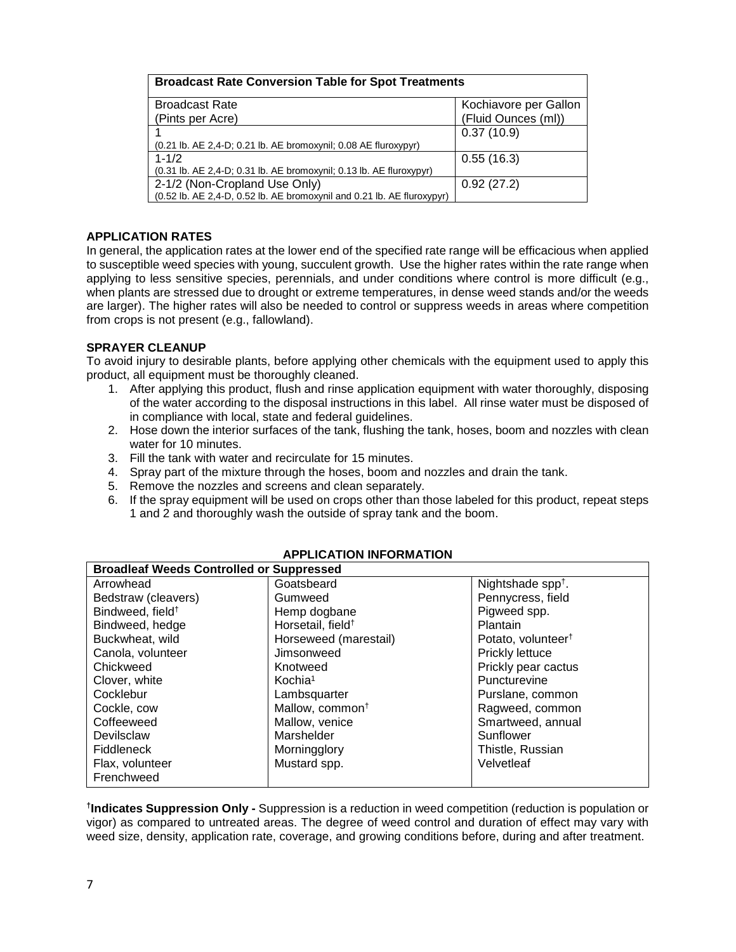| <b>Broadcast Rate Conversion Table for Spot Treatments</b>                                         |                       |  |
|----------------------------------------------------------------------------------------------------|-----------------------|--|
| <b>Broadcast Rate</b>                                                                              | Kochiavore per Gallon |  |
| (Pints per Acre)                                                                                   | (Fluid Ounces (ml))   |  |
|                                                                                                    | 0.37(10.9)            |  |
| (0.21 lb. AE 2,4-D; 0.21 lb. AE bromoxynil; 0.08 AE fluroxypyr)                                    |                       |  |
| $1 - 1/2$                                                                                          | 0.55(16.3)            |  |
| (0.31 lb. AE 2,4-D; 0.31 lb. AE bromoxynil; 0.13 lb. AE fluroxypyr)                                |                       |  |
| 2-1/2 (Non-Cropland Use Only)                                                                      | 0.92(27.2)            |  |
| $(0.52 \text{ lb. AE } 2.4 \text{ -D}, 0.52 \text{ lb. AE}$ bromoxynil and 0.21 lb. AE fluroxypyr) |                       |  |

#### **APPLICATION RATES**

In general, the application rates at the lower end of the specified rate range will be efficacious when applied to susceptible weed species with young, succulent growth. Use the higher rates within the rate range when applying to less sensitive species, perennials, and under conditions where control is more difficult (e.g., when plants are stressed due to drought or extreme temperatures, in dense weed stands and/or the weeds are larger). The higher rates will also be needed to control or suppress weeds in areas where competition from crops is not present (e.g., fallowland).

#### **SPRAYER CLEANUP**

To avoid injury to desirable plants, before applying other chemicals with the equipment used to apply this product, all equipment must be thoroughly cleaned.

- 1. After applying this product, flush and rinse application equipment with water thoroughly, disposing of the water according to the disposal instructions in this label. All rinse water must be disposed of in compliance with local, state and federal guidelines.
- 2. Hose down the interior surfaces of the tank, flushing the tank, hoses, boom and nozzles with clean water for 10 minutes.
- 3. Fill the tank with water and recirculate for 15 minutes.
- 4. Spray part of the mixture through the hoses, boom and nozzles and drain the tank.
- 5. Remove the nozzles and screens and clean separately.
- 6. If the spray equipment will be used on crops other than those labeled for this product, repeat steps 1 and 2 and thoroughly wash the outside of spray tank and the boom.

| <b>Broadleaf Weeds Controlled or Suppressed</b> |                               |                                |
|-------------------------------------------------|-------------------------------|--------------------------------|
| Arrowhead                                       | Goatsbeard                    | Nightshade spp <sup>+</sup> .  |
| Bedstraw (cleavers)                             | Gumweed                       | Pennycress, field              |
| Bindweed, field <sup>+</sup>                    | Hemp dogbane                  | Pigweed spp.                   |
| Bindweed, hedge                                 | Horsetail, field <sup>+</sup> | Plantain                       |
| Buckwheat, wild                                 | Horseweed (marestail)         | Potato, volunteer <sup>†</sup> |
| Canola, volunteer                               | Jimsonweed                    | Prickly lettuce                |
| Chickweed                                       | Knotweed                      | Prickly pear cactus            |
| Clover, white                                   | Kochia <sup>1</sup>           | Puncturevine                   |
| Cocklebur                                       | Lambsquarter                  | Purslane, common               |
| Cockle, cow                                     | Mallow, common <sup>+</sup>   | Ragweed, common                |
| Coffeeweed                                      | Mallow, venice                | Smartweed, annual              |
| Devilsclaw                                      | Marshelder                    | Sunflower                      |
| <b>Fiddleneck</b>                               | Morningglory                  | Thistle, Russian               |
| Flax, volunteer                                 | Mustard spp.                  | Velvetleaf                     |
| Frenchweed                                      |                               |                                |

#### **APPLICATION INFORMATION**

**†Indicates Suppression Only -** Suppression is a reduction in weed competition (reduction is population or vigor) as compared to untreated areas. The degree of weed control and duration of effect may vary with weed size, density, application rate, coverage, and growing conditions before, during and after treatment.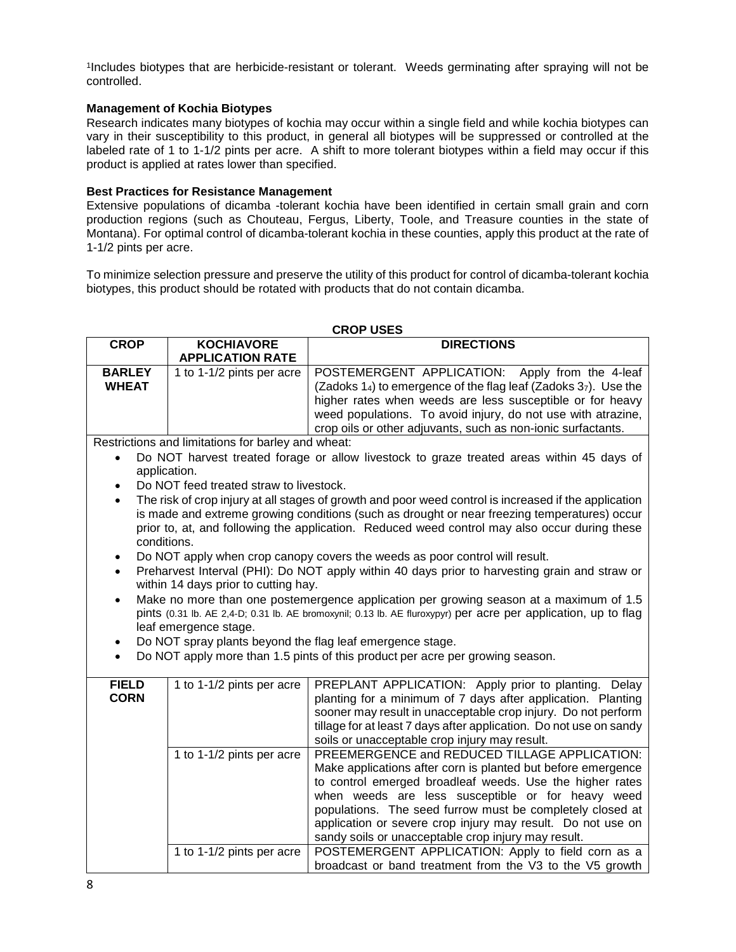1Includes biotypes that are herbicide-resistant or tolerant. Weeds germinating after spraying will not be controlled.

#### **Management of Kochia Biotypes**

Research indicates many biotypes of kochia may occur within a single field and while kochia biotypes can vary in their susceptibility to this product, in general all biotypes will be suppressed or controlled at the labeled rate of 1 to 1-1/2 pints per acre. A shift to more tolerant biotypes within a field may occur if this product is applied at rates lower than specified.

#### **Best Practices for Resistance Management**

Extensive populations of dicamba -tolerant kochia have been identified in certain small grain and corn production regions (such as Chouteau, Fergus, Liberty, Toole, and Treasure counties in the state of Montana). For optimal control of dicamba-tolerant kochia in these counties, apply this product at the rate of 1-1/2 pints per acre.

To minimize selection pressure and preserve the utility of this product for control of dicamba-tolerant kochia biotypes, this product should be rotated with products that do not contain dicamba.

#### **CROP USES**

| <b>CROP</b>   | <b>KOCHIAVORE</b>         | <b>DIRECTIONS</b>                                              |
|---------------|---------------------------|----------------------------------------------------------------|
|               | <b>APPLICATION RATE</b>   |                                                                |
| <b>BARLEY</b> | 1 to 1-1/2 pints per acre | POSTEMERGENT APPLICATION: Apply from the 4-leaf                |
| <b>WHEAT</b>  |                           | (Zadoks 14) to emergence of the flag leaf (Zadoks 37). Use the |
|               |                           | higher rates when weeds are less susceptible or for heavy      |
|               |                           | weed populations. To avoid injury, do not use with atrazine,   |
|               |                           | crop oils or other adjuvants, such as non-ionic surfactants.   |

Restrictions and limitations for barley and wheat:

- Do NOT harvest treated forage or allow livestock to graze treated areas within 45 days of application.
- Do NOT feed treated straw to livestock.
- The risk of crop injury at all stages of growth and poor weed control is increased if the application is made and extreme growing conditions (such as drought or near freezing temperatures) occur prior to, at, and following the application. Reduced weed control may also occur during these conditions.
- Do NOT apply when crop canopy covers the weeds as poor control will result.
- Preharvest Interval (PHI): Do NOT apply within 40 days prior to harvesting grain and straw or within 14 days prior to cutting hay.
- Make no more than one postemergence application per growing season at a maximum of 1.5 pints (0.31 lb. AE 2,4-D; 0.31 lb. AE bromoxynil; 0.13 lb. AE fluroxypyr) per acre per application, up to flag leaf emergence stage.
- Do NOT spray plants beyond the flag leaf emergence stage.
- Do NOT apply more than 1.5 pints of this product per acre per growing season.

| <b>FIELD</b> | 1 to 1-1/2 pints per acre | PREPLANT APPLICATION: Apply prior to planting. Delay               |
|--------------|---------------------------|--------------------------------------------------------------------|
| <b>CORN</b>  |                           | planting for a minimum of 7 days after application. Planting       |
|              |                           | sooner may result in unacceptable crop injury. Do not perform      |
|              |                           | tillage for at least 7 days after application. Do not use on sandy |
|              |                           | soils or unacceptable crop injury may result.                      |
|              | 1 to 1-1/2 pints per acre | PREEMERGENCE and REDUCED TILLAGE APPLICATION:                      |
|              |                           | Make applications after corn is planted but before emergence       |
|              |                           | to control emerged broadleaf weeds. Use the higher rates           |
|              |                           | when weeds are less susceptible or for heavy weed                  |
|              |                           | populations. The seed furrow must be completely closed at          |
|              |                           | application or severe crop injury may result. Do not use on        |
|              |                           | sandy soils or unacceptable crop injury may result.                |
|              | 1 to 1-1/2 pints per acre | POSTEMERGENT APPLICATION: Apply to field corn as a                 |
|              |                           | broadcast or band treatment from the V3 to the V5 growth           |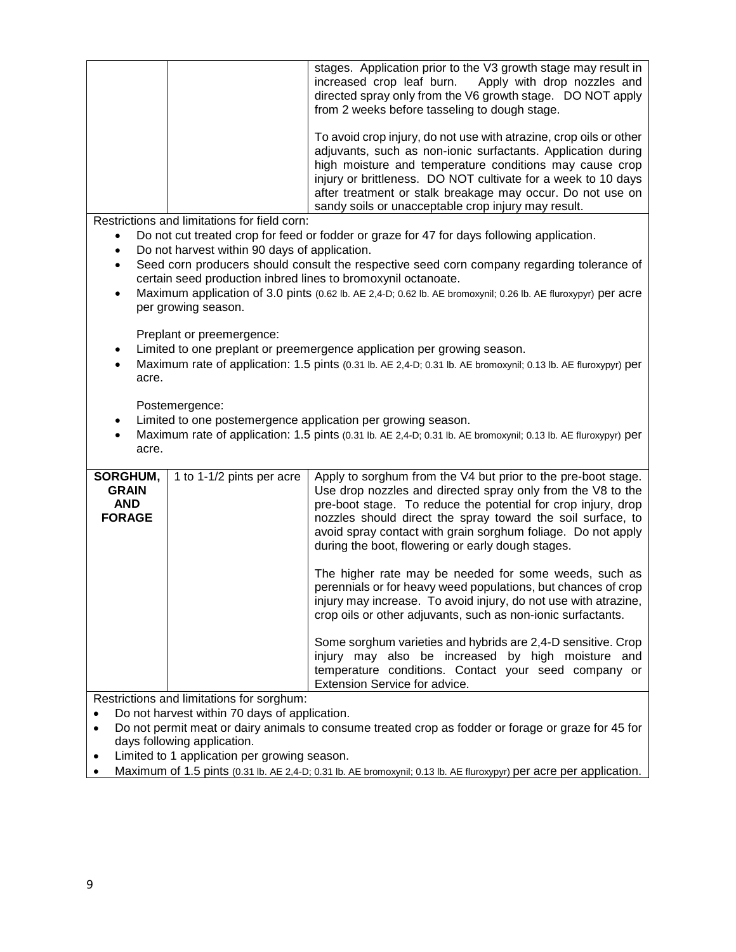| stages. Application prior to the V3 growth stage may result in<br>increased crop leaf burn.<br>Apply with drop nozzles and<br>directed spray only from the V6 growth stage. DO NOT apply<br>from 2 weeks before tasseling to dough stage.                                                                                                                                                                                                                                 |  |  |
|---------------------------------------------------------------------------------------------------------------------------------------------------------------------------------------------------------------------------------------------------------------------------------------------------------------------------------------------------------------------------------------------------------------------------------------------------------------------------|--|--|
|                                                                                                                                                                                                                                                                                                                                                                                                                                                                           |  |  |
| To avoid crop injury, do not use with atrazine, crop oils or other<br>adjuvants, such as non-ionic surfactants. Application during<br>high moisture and temperature conditions may cause crop<br>injury or brittleness. DO NOT cultivate for a week to 10 days<br>after treatment or stalk breakage may occur. Do not use on<br>sandy soils or unacceptable crop injury may result.                                                                                       |  |  |
| Restrictions and limitations for field corn:                                                                                                                                                                                                                                                                                                                                                                                                                              |  |  |
| Do not cut treated crop for feed or fodder or graze for 47 for days following application.                                                                                                                                                                                                                                                                                                                                                                                |  |  |
| Do not harvest within 90 days of application.<br>$\bullet$                                                                                                                                                                                                                                                                                                                                                                                                                |  |  |
| Seed corn producers should consult the respective seed corn company regarding tolerance of<br>$\bullet$<br>certain seed production inbred lines to bromoxynil octanoate.                                                                                                                                                                                                                                                                                                  |  |  |
| Maximum application of 3.0 pints (0.62 lb. AE 2,4-D; 0.62 lb. AE bromoxynil; 0.26 lb. AE fluroxypyr) per acre<br>$\bullet$<br>per growing season.                                                                                                                                                                                                                                                                                                                         |  |  |
| Preplant or preemergence:<br>Limited to one preplant or preemergence application per growing season.<br>Maximum rate of application: 1.5 pints (0.31 lb. AE 2,4-D; 0.31 lb. AE bromoxynil; 0.13 lb. AE fluroxypyr) per<br>acre.                                                                                                                                                                                                                                           |  |  |
| Postemergence:<br>Limited to one postemergence application per growing season.<br>٠                                                                                                                                                                                                                                                                                                                                                                                       |  |  |
| Maximum rate of application: 1.5 pints (0.31 lb. AE 2,4-D; 0.31 lb. AE bromoxynil; 0.13 lb. AE fluroxypyr) per<br>acre.                                                                                                                                                                                                                                                                                                                                                   |  |  |
|                                                                                                                                                                                                                                                                                                                                                                                                                                                                           |  |  |
| SORGHUM,<br>Apply to sorghum from the V4 but prior to the pre-boot stage.<br>1 to 1-1/2 pints per acre<br>Use drop nozzles and directed spray only from the V8 to the<br><b>GRAIN</b><br><b>AND</b><br>pre-boot stage. To reduce the potential for crop injury, drop<br><b>FORAGE</b><br>nozzles should direct the spray toward the soil surface, to<br>avoid spray contact with grain sorghum foliage. Do not apply<br>during the boot, flowering or early dough stages. |  |  |
| The higher rate may be needed for some weeds, such as<br>perennials or for heavy weed populations, but chances of crop<br>injury may increase. To avoid injury, do not use with atrazine,<br>crop oils or other adjuvants, such as non-ionic surfactants.                                                                                                                                                                                                                 |  |  |
| Some sorghum varieties and hybrids are 2,4-D sensitive. Crop<br>injury may also be increased by high moisture and<br>temperature conditions. Contact your seed company or<br>Extension Service for advice.                                                                                                                                                                                                                                                                |  |  |
| Restrictions and limitations for sorghum:<br>Do not harvest within 70 days of application.                                                                                                                                                                                                                                                                                                                                                                                |  |  |

- Do not permit meat or dairy animals to consume treated crop as fodder or forage or graze for 45 for days following application.
- Limited to 1 application per growing season.
- Maximum of 1.5 pints (0.31 lb. AE 2,4-D; 0.31 lb. AE bromoxynil; 0.13 lb. AE fluroxypyr) per acre per application.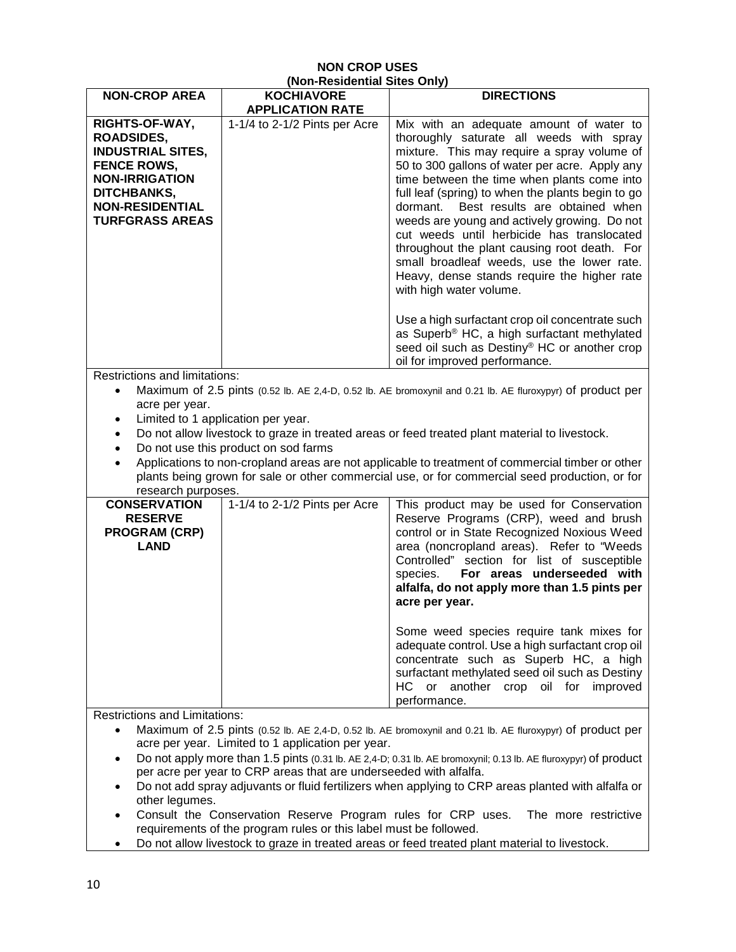#### **NON CROP USES (Non-Residential Sites Only)**

| <b>NON-CROP AREA</b>                                                                                                                                                              | (מוויט פאוט וואסווכארדושון)<br><b>KOCHIAVORE</b> | <b>DIRECTIONS</b>                                                                                                                                                                                                                                                                                                                                                                                                                                                                                                                                                                                            |
|-----------------------------------------------------------------------------------------------------------------------------------------------------------------------------------|--------------------------------------------------|--------------------------------------------------------------------------------------------------------------------------------------------------------------------------------------------------------------------------------------------------------------------------------------------------------------------------------------------------------------------------------------------------------------------------------------------------------------------------------------------------------------------------------------------------------------------------------------------------------------|
|                                                                                                                                                                                   | <b>APPLICATION RATE</b>                          |                                                                                                                                                                                                                                                                                                                                                                                                                                                                                                                                                                                                              |
| RIGHTS-OF-WAY,<br><b>ROADSIDES,</b><br><b>INDUSTRIAL SITES,</b><br><b>FENCE ROWS,</b><br><b>NON-IRRIGATION</b><br>DITCHBANKS,<br><b>NON-RESIDENTIAL</b><br><b>TURFGRASS AREAS</b> | 1-1/4 to 2-1/2 Pints per Acre                    | Mix with an adequate amount of water to<br>thoroughly saturate all weeds with spray<br>mixture. This may require a spray volume of<br>50 to 300 gallons of water per acre. Apply any<br>time between the time when plants come into<br>full leaf (spring) to when the plants begin to go<br>Best results are obtained when<br>dormant.<br>weeds are young and actively growing. Do not<br>cut weeds until herbicide has translocated<br>throughout the plant causing root death. For<br>small broadleaf weeds, use the lower rate.<br>Heavy, dense stands require the higher rate<br>with high water volume. |
|                                                                                                                                                                                   |                                                  | Use a high surfactant crop oil concentrate such<br>as Superb® HC, a high surfactant methylated<br>seed oil such as Destiny® HC or another crop<br>oil for improved performance.                                                                                                                                                                                                                                                                                                                                                                                                                              |
| <b>Restrictions and limitations:</b><br>Maximum of 2.5 pints (0.52 lb. AE 2,4-D, 0.52 lb. AE bromoxynil and 0.21 lb. AE fluroxypyr) of product per<br>$\bullet$                   |                                                  |                                                                                                                                                                                                                                                                                                                                                                                                                                                                                                                                                                                                              |
| acre per year.                                                                                                                                                                    |                                                  |                                                                                                                                                                                                                                                                                                                                                                                                                                                                                                                                                                                                              |
| $\bullet$                                                                                                                                                                         | Limited to 1 application per year.               |                                                                                                                                                                                                                                                                                                                                                                                                                                                                                                                                                                                                              |
| $\bullet$                                                                                                                                                                         |                                                  | Do not allow livestock to graze in treated areas or feed treated plant material to livestock.                                                                                                                                                                                                                                                                                                                                                                                                                                                                                                                |
| $\bullet$                                                                                                                                                                         | Do not use this product on sod farms             |                                                                                                                                                                                                                                                                                                                                                                                                                                                                                                                                                                                                              |
| research purposes.                                                                                                                                                                |                                                  | Applications to non-cropland areas are not applicable to treatment of commercial timber or other<br>plants being grown for sale or other commercial use, or for commercial seed production, or for                                                                                                                                                                                                                                                                                                                                                                                                           |
| <b>CONSERVATION</b>                                                                                                                                                               | 1-1/4 to 2-1/2 Pints per Acre                    | This product may be used for Conservation                                                                                                                                                                                                                                                                                                                                                                                                                                                                                                                                                                    |
| <b>RESERVE</b><br><b>PROGRAM (CRP)</b><br><b>LAND</b>                                                                                                                             |                                                  | Reserve Programs (CRP), weed and brush<br>control or in State Recognized Noxious Weed<br>area (noncropland areas). Refer to "Weeds<br>Controlled" section for list of susceptible<br>For areas underseeded with<br>species.<br>alfalfa, do not apply more than 1.5 pints per<br>acre per year.                                                                                                                                                                                                                                                                                                               |
|                                                                                                                                                                                   |                                                  | Some weed species require tank mixes for<br>adequate control. Use a high surfactant crop oil<br>concentrate such as Superb HC, a high<br>surfactant methylated seed oil such as Destiny<br>HC or another crop oil for improved<br>performance.                                                                                                                                                                                                                                                                                                                                                               |
| <b>Restrictions and Limitations:</b>                                                                                                                                              |                                                  |                                                                                                                                                                                                                                                                                                                                                                                                                                                                                                                                                                                                              |
| Maximum of 2.5 pints (0.52 lb. AE 2,4-D, 0.52 lb. AE bromoxynil and 0.21 lb. AE fluroxypyr) of product per                                                                        |                                                  |                                                                                                                                                                                                                                                                                                                                                                                                                                                                                                                                                                                                              |
| acre per year. Limited to 1 application per year.<br>Do not apply more than 1.5 pints (0.31 lb. AE 2,4-D; 0.31 lb. AE bromoxynil; 0.13 lb. AE fluroxypyr) of product              |                                                  |                                                                                                                                                                                                                                                                                                                                                                                                                                                                                                                                                                                                              |
| per acre per year to CRP areas that are underseeded with alfalfa.                                                                                                                 |                                                  |                                                                                                                                                                                                                                                                                                                                                                                                                                                                                                                                                                                                              |

- Do not add spray adjuvants or fluid fertilizers when applying to CRP areas planted with alfalfa or other legumes.
- Consult the Conservation Reserve Program rules for CRP uses. The more restrictive requirements of the program rules or this label must be followed.
- Do not allow livestock to graze in treated areas or feed treated plant material to livestock.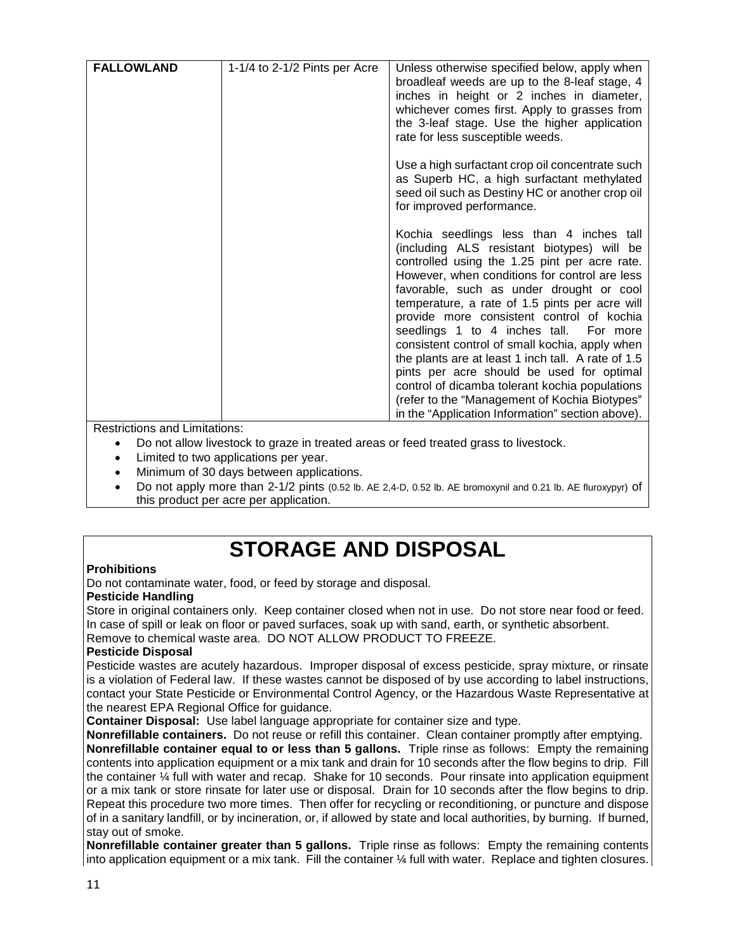| <b>FALLOWLAND</b> | 1-1/4 to 2-1/2 Pints per Acre | Unless otherwise specified below, apply when<br>broadleaf weeds are up to the 8-leaf stage, 4<br>inches in height or 2 inches in diameter,<br>whichever comes first. Apply to grasses from<br>the 3-leaf stage. Use the higher application<br>rate for less susceptible weeds.                                                                                                                                                                                                                                                                                                                                                                                                            |
|-------------------|-------------------------------|-------------------------------------------------------------------------------------------------------------------------------------------------------------------------------------------------------------------------------------------------------------------------------------------------------------------------------------------------------------------------------------------------------------------------------------------------------------------------------------------------------------------------------------------------------------------------------------------------------------------------------------------------------------------------------------------|
|                   |                               | Use a high surfactant crop oil concentrate such<br>as Superb HC, a high surfactant methylated<br>seed oil such as Destiny HC or another crop oil<br>for improved performance.                                                                                                                                                                                                                                                                                                                                                                                                                                                                                                             |
|                   |                               | Kochia seedlings less than 4 inches tall<br>(including ALS resistant biotypes) will be<br>controlled using the 1.25 pint per acre rate.<br>However, when conditions for control are less<br>favorable, such as under drought or cool<br>temperature, a rate of 1.5 pints per acre will<br>provide more consistent control of kochia<br>seedlings 1 to 4 inches tall. For more<br>consistent control of small kochia, apply when<br>the plants are at least 1 inch tall. A rate of 1.5<br>pints per acre should be used for optimal<br>control of dicamba tolerant kochia populations<br>(refer to the "Management of Kochia Biotypes"<br>in the "Application Information" section above). |

Restrictions and Limitations:

- Do not allow livestock to graze in treated areas or feed treated grass to livestock.
- Limited to two applications per year.
- Minimum of 30 days between applications.
- Do not apply more than 2-1/2 pints (0.52 lb. AE 2,4-D, 0.52 lb. AE bromoxynil and 0.21 lb. AE fluroxypyr) of this product per acre per application.

## **STORAGE AND DISPOSAL**

#### **Prohibitions**

Do not contaminate water, food, or feed by storage and disposal.

#### **Pesticide Handling**

Store in original containers only. Keep container closed when not in use. Do not store near food or feed. In case of spill or leak on floor or paved surfaces, soak up with sand, earth, or synthetic absorbent.

Remove to chemical waste area. DO NOT ALLOW PRODUCT TO FREEZE.

#### **Pesticide Disposal**

Pesticide wastes are acutely hazardous. Improper disposal of excess pesticide, spray mixture, or rinsate is a violation of Federal law. If these wastes cannot be disposed of by use according to label instructions, contact your State Pesticide or Environmental Control Agency, or the Hazardous Waste Representative at the nearest EPA Regional Office for guidance.

**Container Disposal:** Use label language appropriate for container size and type.

**Nonrefillable containers.** Do not reuse or refill this container. Clean container promptly after emptying. **Nonrefillable container equal to or less than 5 gallons.** Triple rinse as follows: Empty the remaining contents into application equipment or a mix tank and drain for 10 seconds after the flow begins to drip. Fill the container ¼ full with water and recap. Shake for 10 seconds. Pour rinsate into application equipment or a mix tank or store rinsate for later use or disposal. Drain for 10 seconds after the flow begins to drip. Repeat this procedure two more times. Then offer for recycling or reconditioning, or puncture and dispose of in a sanitary landfill, or by incineration, or, if allowed by state and local authorities, by burning. If burned, stay out of smoke.

**Nonrefillable container greater than 5 gallons.** Triple rinse as follows: Empty the remaining contents into application equipment or a mix tank. Fill the container ¼ full with water. Replace and tighten closures.